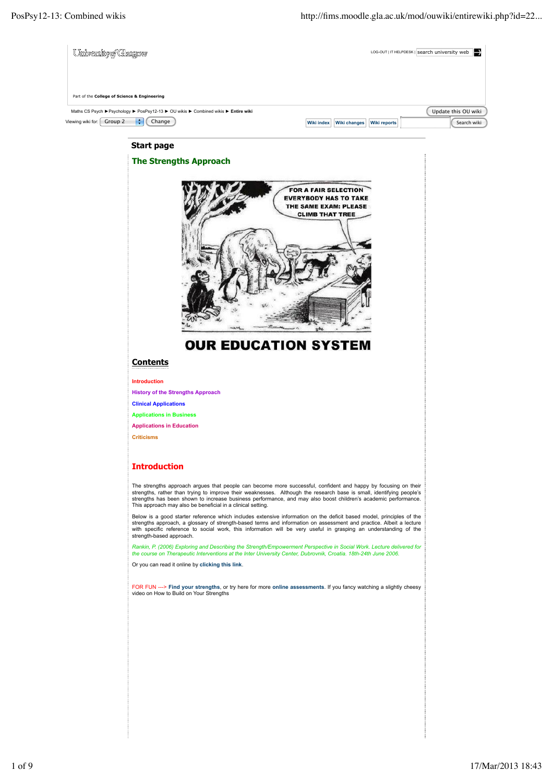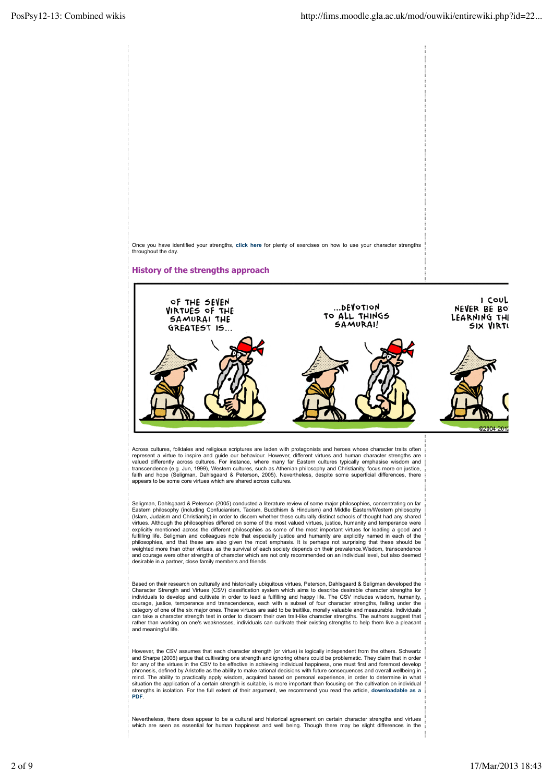



Across cultures, folktales and religious scriptures are laden with protagonists and heroes whose character traits often represent a virtue to inspire and guide our behaviour. However, different virtues and human character strengths are<br>valued differently across cultures. For instance, where many far Eastern cultures typically emphasise wisd transcendence (e.g. Jun, 1999), Western cultures, such as Athenian philosophy and Christianity, focus more on justice,<br>faith and hope (Seligman, Dahlsgaard & Peterson, 2005). Nevertheless, despite some superficial differen

Seligman, Dahlsgaard & Peterson (2005) conducted a literature review of some major philosophies, concentrating on far<br>Eastern philosophy (including Confucianism, Taoism, Buddhism & Hinduism) and Middle Eastern/Western phil (Islam, Judaism and Christianity) in order to discern whether these culturally distinct schools of thought had any shared virtues. Although the philosophies differed on some of the most valued virtues, justice, humanity and temperance were explicitly mentioned across the different philosophies as some of the most important virtues for leading a good and<br>fulfilling life. Seligman and colleagues note that especially justice and humanity are explicitly named in philosophies, and that these are also given the most emphasis. It is perhaps not surprising that these should be<br>weighted more than other virtues, as the survival of each society depends on their prevalence.Wisdom, transce and courage were other strengths of character which are not only recommended on an individual level, but also deemed desirable in a partner, close family members and friends.

Based on their research on culturally and historically ubiquitous virtues, Peterson, Dahlsgaard & Seligman developed the Character Strength and Virtues (CSV) classification system which aims to describe desirable character strengths for individuals to develop and cultivate in order to lead a fulfilling and happy life. The CSV includes wisdom, humanity,<br>courage, justice, temperance and transcendence, each with a subset of four character strengths, falling category of one of the six major ones. These virtues are said to be traitlike, morally valuable and measurable. Individuals can take a character strength test in order to discern their own trait-like character strengths. The authors suggest that rather than working on one's weaknesses, individuals can cultivate their existing strengths to help them live a pleasant and meaningful life.

However, the CSV assumes that each character strength (or virtue) is logically independent from the others. Schwartz<br>and Sharpe (2006) argue that cultivating one strength and ignoring others could be problematic. They clai for any of the virtues in the CSV to be effective in achieving individual happiness, one must first and foremost develop<br>phronesis, defined by Aristotle as the ability to make rational decisions with future consequences an mind. The ability to practically apply wisdom, acquired based on personal experience, in order to determine in what<br>situation the application of a certain strength is suitable, is more important than focusing on the cultiv strengths in isolation. For the full extent of their argument, we recommend you read the article, **downloadable as a PDF**.

Nevertheless, there does appear to be a cultural and historical agreement on certain character strengths and virtues<br>which are seen as essential for human happiness and well being. Though there may be slight differences in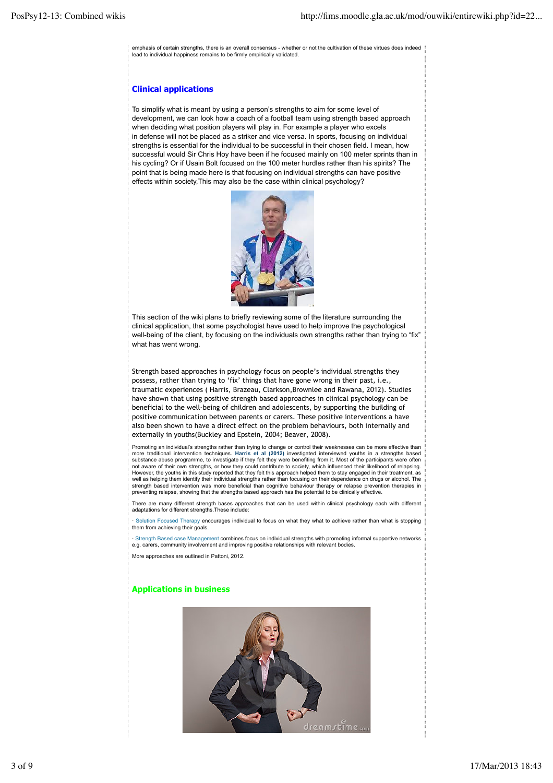emphasis of certain strengths, there is an overall consensus - whether or not the cultivation of these virtues does indeed lead to individual happiness remains to be firmly empirically validated.

## **Clinical applications**

To simplify what is meant by using a person's strengths to aim for some level of development, we can look how a coach of a football team using strength based approach when deciding what position players will play in. For example a player who excels in defense will not be placed as a striker and vice versa. In sports, focusing on individual strengths is essential for the individual to be successful in their chosen field. I mean, how successful would Sir Chris Hoy have been if he focused mainly on 100 meter sprints than in his cycling? Or if Usain Bolt focused on the 100 meter hurdles rather than his spirits? The point that is being made here is that focusing on individual strengths can have positive effects within society,This may also be the case within clinical psychology?



This section of the wiki plans to briefly reviewing some of the literature surrounding the clinical application, that some psychologist have used to help improve the psychological well-being of the client, by focusing on the individuals own strengths rather than trying to "fix" what has went wrong.

Strength based approaches in psychology focus on people's individual strengths they possess, rather than trying to 'fix' things that have gone wrong in their past, i.e., traumatic experiences ( Harris, Brazeau, Clarkson,Brownlee and Rawana, 2012). Studies have shown that using positive strength based approaches in clinical psychology can be beneficial to the well-being of children and adolescents, by supporting the building of positive communication between parents or carers. These positive interventions a have also been shown to have a direct effect on the problem behaviours, both internally and externally in youths(Buckley and Epstein, 2004; Beaver, 2008).

Promoting an individual's strengths rather than trying to change or control their weaknesses can be more effective than<br>more traditional intervention techniques. Harris et al (2012) investigated interviewed youths in a str not aware of their own strengths, or how they could contribute to society, which influenced their likelihood of relapsing.<br>However, the youths in this study reported that they felt this approach helped them to stay engaged well as helping them identify their individual strengths rather than focusing on their dependence on drugs or alcohol. The strength based intervention was more beneficial than cognitive behaviour therapy or relapse prevention therapies in preventing relapse, showing that the strengths based approach has the potential to be clinically effective.

There are many different strength bases approaches that can be used within clinical psychology each with different adaptations for different strengths.These include:

· Solution Focused Therapy encourages individual to focus on what they what to achieve rather than what is stopping them from achieving their goals.

· Strength Based case Management combines focus on individual strengths with promoting informal supportive networks e.g. carers, community involvement and improving positive relationships with relevant bodies.

More approaches are outlined in Pattoni, 2012.

### **Applications in business**

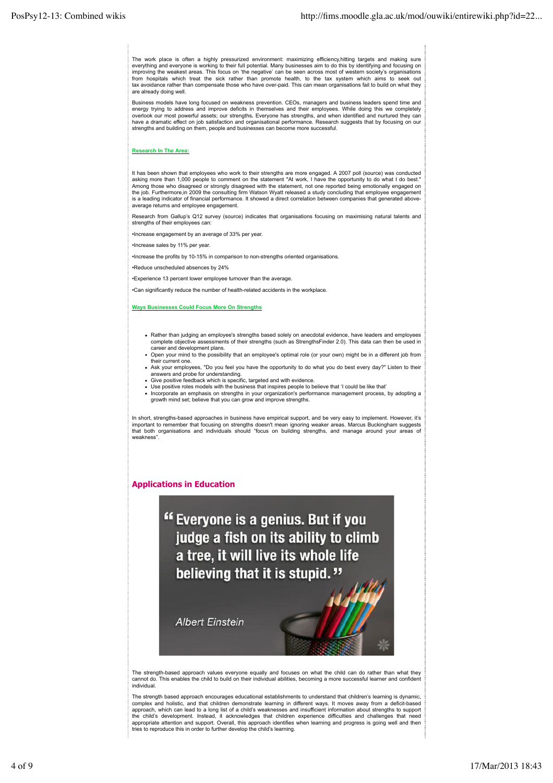The work place is often a highly pressurized environment: maximizing efficiency,hitting targets and making sure<br>everything and everyone is working to their full potential. Many businesses aim to do this by identifying and improving the weakest areas. This focus on 'the negative' can be seen across most of western society's organisations from hospitals which treat the sick rather than promote health, to the tax system which aims to seek out tax avoidance rather than compensate those who have over-paid. This can mean organisations fail to build on what they are already doing well.

Business models have long focused on weakness prevention. CEOs, managers and business leaders spend time and energy trying to address and improve deficits in themselves and their employees. While doing this we completely overlook our most powerful assets; our strengths**.** Everyone has strengths, and when identified and nurtured they can have a dramatic effect on job satisfaction and organisational performance. Research suggests that by focusing on our strengths and building on them, people and businesses can become more successful.

#### **Research In The Area:**

It has been shown that employees who work to their strengths are more engaged. A 2007 poll (source) was conducted asking more than 1,000 people to comment on the statement "At work, I have the opportunity to do what I do best." Among those who disagreed or strongly disagreed with the statement, not one reported being emotionally engaged on<br>the job. Furthermore,in 2009 the consulting firm Watson Wyatt released a study concluding that employee enga average returns and employee engagement.

Research from Gallup's Q12 survey (source) indicates that organisations focusing on maximising natural talents and strengths of their employees can:

•Increase engagement by an average of 33% per year.

•Increase sales by 11% per year.

•Increase the profits by 10-15% in comparison to non-strengths oriented organisations.

•Reduce unscheduled absences by 24%

•Experience 13 percent lower employee turnover than the average.

•Can significantly reduce the number of health-related accidents in the workplace.

#### **Ways Businesses Could Focus More On Strengths**

- Rather than judging an employee's strengths based solely on anecdotal evidence, have leaders and employees complete objective assessments of their strengths (such as StrengthsFinder 2.0). This data can then be used in career and development plans.
- Open your mind to the possibility that an employee's optimal role (or your own) might be in a different job from their current one.
- Ask your employees, "Do you feel you have the opportunity to do what you do best every day?" Listen to their answers and probe for understanding.
- Give positive feedback which is specific, targeted and with evidence.
- Use positive roles models with the business that inspires people to believe that 'I could be like that' Incorporate an emphasis on strengths in your organization's performance management process, by adopting a growth mind set; believe that you can grow and improve strengths.

In short, strengths-based approaches in business have empirical support, and be very easy to implement. However, it's important to remember that focusing on strengths doesn't mean ignoring weaker areas. Marcus Buckingham suggests that both organisations and individuals should "focus on building strengths, and manage around your areas of weakness".

**Applications in Education**

" Everyone is a genius. But if you judge a fish on its ability to climb a tree, it will live its whole life believing that it is stupid."

**Albert Einstein** 



The strength-based approach values everyone equally and focuses on what the child can do rather than what they<br>cannot do. This enables the child to build on their individual abilities, becoming a more successful learner an individual.

The strength based approach encourages educational establishments to understand that children's learning is dynamic complex and holistic, and that children demonstrate learning in different ways. It moves away from a deficit-based<br>approach, which can lead to a long list of a child's weaknesses and insufficient information about strength the child's development. Instead, it acknowledges that children experience difficulties and challenges that need appropriate attention and support. Overall, this approach identifies when learning and progress is going well and then tries to reproduce this in order to further develop the child's learning.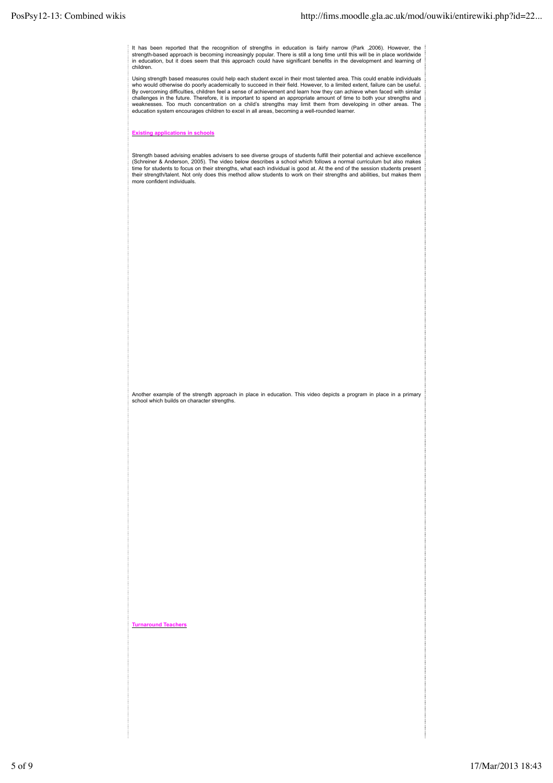It has been reported that the recognition of strengths in education is fairly narrow (Park ,2006). However, the<br>strength-based approach is becoming increasingly popular. There is still a long time until this will be in pla children.

Using strength based measures could help each student excel in their most talented area. This could enable individuals who would otherwise do poorly academically to succeed in their field. However, to a limited extent, failure can be useful.<br>By overcoming difficulties, children feel a sense of achievement and learn how they can achieve whe challenges in the future. Therefore, it is important to spend an appropriate amount of time to both your strengths and<br>weaknesses. Too much concentration on a child's strengths may limit them from developing in other areas education system encourages children to excel in all areas, becoming a well-rounded learner.

**Existing applications in schools**

Strength based advising enables advisers to see diverse groups of students fulfill their potential and achieve excellence<br>(Schreiner & Anderson, 2005). The video below describes a school which follows a normal curriculum b time for students to focus on their strengths, what each individual is good at. At the end of the session students present<br>their strength/talent. Not only does this method allow students to work on their strengths and abil more confident individuals.

Another example of the strength approach in place in education. This video depicts a program in place in a primary school which builds on character strengths.

**Turnaround Teachers**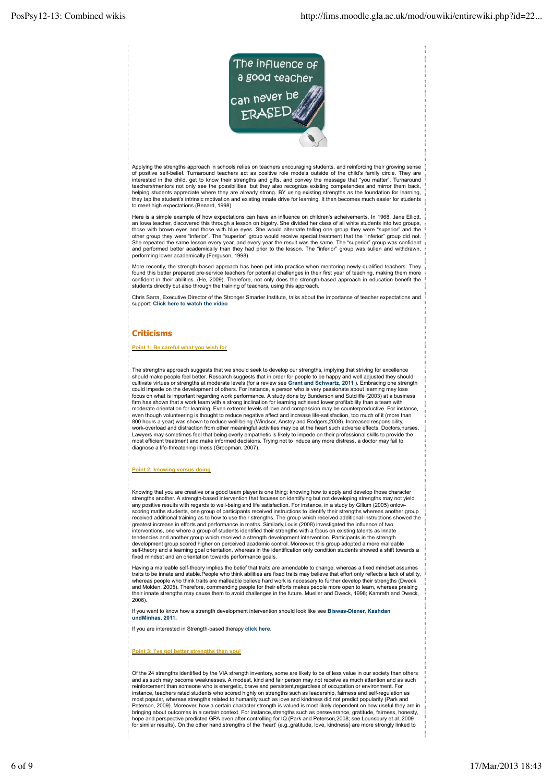

Applying the strengths approach in schools relies on teachers encouraging students, and reinforcing their growing sense of positive self-belief. Turnaround teachers act as positive role models outside of the child's family circle. They are interested in the child, get to know their strengths and gifts, and convey the message that "you matter". Turnaround teachers/mentors not only see the possibilities, but they also recognize existing competencies and mirror them back,<br>helping students appreciate where they are already strong. BY using existing strengths as the foundation to meet high expectations (Benard, 1998).

Here is a simple example of how expectations can have an influence on children's acheivements. In 1968, Jane Elliott an lowa teacher, discovered this through a lesson on bigotry. She divided her class of all white students into two groups,<br>those with brown eyes and those with blue eyes. She would alternate telling one group they were "su and performed better academically than they had prior to the lesson. The "inferior" group was sullen and withdrawn, performing lower academically (Ferguson, 1998).

More recently, the strength-based approach has been put into practice when mentoring newly qualified teachers. They found this better prepared pre‐service teachers for potential challenges in their first year of teaching, making them more confident in their abilities. (He, 2009). Therefore, not only does the strength-based approach in education benefit the students directly but also through the training of teachers, using this approach.

Chris Sarra, Executive Director of the Stronger Smarter Institute, talks about the importance of teacher expectations and support: **Click here to watch the video**

## **Criticisms**

#### **Point 1: Be careful what you wish for**

The strengths approach suggests that we should seek to develop our strengths, implying that striving for excellence should make people feel better. Research suggests that in order for people to be happy and well adjusted they should cultivate virtues or strengths at moderate levels (for a review see Grant and Schwartz, 2011 ). Embracing one strength<br>could impede on the development of others. For instance, a person who is very passionate about learning focus on what is important regarding work performance. A study done by Bunderson and Sutcliffe (2003) at a business<br>firm has shown that a work team with a strong inclination for learning achieved lower profitability than a moderate orientation for learning. Even extreme levels of love and compassion may be counterproductive. For instance,<br>even though volunteering is thought to reduce negative affect and increase life-satisfaction, too much o 800 hours a year) was shown to reduce well-being (Windsor, Anstey and Rodgers,2008). Increased responsibility,<br>work-overload and distraction from other meaningful activities may be at the heart such adverse effects. Doctor Lawyers may sometimes feel that being overly empathetic is likely to impede on their professional skills to provide the<br>most efficient treatment and make informed decisions. Trying not to induce any more distress, a doctor diagnose a life-threatening illness (Groopman, 2007).

#### **Point 2: knowing versus doing**

Knowing that you are creative or a good team player is one thing; knowing how to apply and develop those character<br>strengths another. A strength-based intervention that focuses on identifying but not developing strengths m any positive results with regards to well-being and life satisfaction. For instance, in a study by Gillum (2005) onlow-<br>scoring maths students, one group of participants received instructions to identify their strengths wh received additional training as to how to use their strengths. The group which received additional instructions showed the<br>greatest increase in efforts and performance in maths. Similarly,Louis (2008) investigated the infl interventions, one where a group of students identified their strengths with a focus on existing talents as innate tendencies and another group which received a strength development intervention. Participants in the strength development group scored higher on perceived academic control. Moreover, this group adopted a more malleable<br>self-theory and a learning goal orientation, whereas in the identification only condition students showed a shift

Having a malleable self-theory implies the belief that traits are amendable to change, whereas a fixed mindset assumes<br>traits to be innate and stable.People who think abilities are fixed traits may believe that effort only whereas people who think traits are malleable believe hard work is necessary to further develop their strengths (Dweck<br>and Molden, 2005). Therefore, commending people for their efforts makes people more open to learn, wher their innate strengths may cause them to avoid challenges in the future. Mueller and Dweck, 1998; Kamrath and Dweck, 2006).

If you want to know how a strength development intervention should look like see **Biswas-Diener, Kashdan undMinhas, 2011.** 

If you are interested in Strength-based therapy **click here**.

#### **Point 3: I've got better strengths than you!**

Of the 24 strengths identified by the VIA strength inventory, some are likely to be of less value in our society than others and as such may become weaknesses. A modest, kind and fair person may not receive as much attention and as such reinforcement than someone who is energetic, brave and persistent,regardless of occupation or environment. For instance, teachers rated students who scored highly on strengths such as leadership, fairness and self-regulation as most popular, whereas strengths related to humanity such as love and kindness did not predict popularity (Park and Peterson, 2009). Moreover, how a certain character strength is valued is most likely dependent on how useful they are in<br>bringing about outcomes in a certain context. For instance,strengths such as perseverance, gratitude, hope and perspective predicted GPA even after controlling for IQ (Park and Peterson,2008; see Lounsbury et al.,2009 for similar results). On the other hand,strengths of the 'heart' (e.g.,gratitude, love, kindness) are more strongly linked to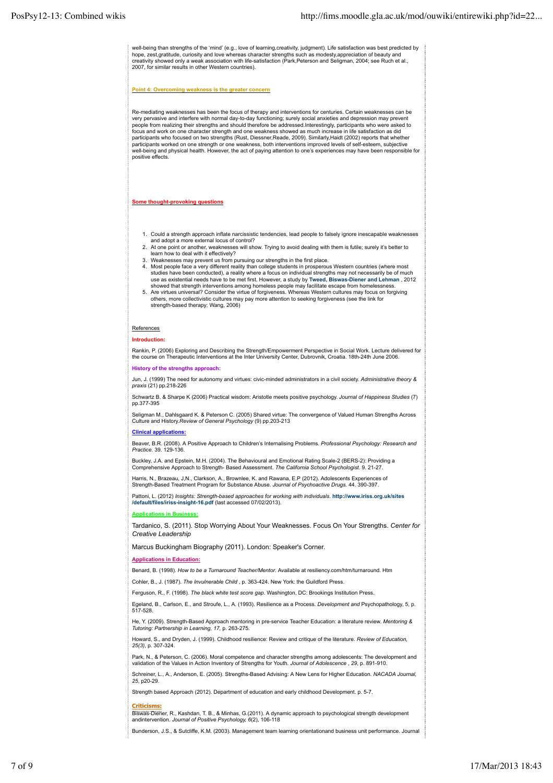well-being than strengths of the 'mind' (e.g., love of learning,creativity, judgment). Life satisfaction was best predicted by<br>hope, zest,gratitude, curiosity and love whereas character strengths such as modesty,appreciati 2007, for similar results in other Western countries).

#### **Point 4: Overcoming weakness is the greater concern**

Re-mediating weaknesses has been the focus of therapy and interventions for centuries. Certain weaknesses can be very pervasive and interfere with normal day-to-day functioning; surely social anxieties and depression may prevent<br>people from realizing their strengths and should therefore be addressed.Interestingly, participants who we focus and work on one character strength and one weakness showed as much increase in life satisfaction as did participants who focused on two strengths (Rust, Diessner,Reade, 2009). Similarly,Haidt (2002) reports that whether participants worked on one strength or one weakness, both interventions improved levels of self-esteem, subjective well-being and physical health. However, the act of paying attention to one's experiences may have been responsible for positive effects.

**Some thought-provoking questions**

- 1. Could a strength approach inflate narcissistic tendencies, lead people to falsely ignore inescapable weaknesses and adopt a more external locus of control?
- 2. At one point or another, weaknesses will show. Trying to avoid dealing with them is futile; surely it's better to learn how to deal with it effectively?
- 
- 3. Weaknesses may prevent us from pursuing our strengths in the first place. Most people face a very different reality than college students in prosperous Western countries (where most 4. studies have been conducted), a reality where a focus on individual strengths may not necessarily be of much use as existential needs have to be met first. However, a study by **Tweed, Biswas-Diener and Lehman** , 2012 showed that strength interventions among homeless people may facilitate escape from homelessness. Are virtues universal? Consider the virtue of forgiveness. Whereas Western cultures may focus on forgiving 5.
- others, more collectivistic cultures may pay more attention to seeking forgiveness (see the link for strength-based therapy; Wang, 2006)

#### References

**Introduction:**

Rankin, P. (2006) Exploring and Describing the Strength/Empowerment Perspective in Social Work. Lecture delivered for<br>the course on Therapeutic Interventions at the Inter University Center, Dubrovnik, Croatia. 18th-24th J

**History of the strengths approach:**

Jun, J. (1999) The need for autonomy and virtues: civic-minded administrators in a civil society. *Administrative theory & praxis* (21) pp.218-226

Schwartz B. & Sharpe K (2006) Practical wisdom: Aristotle meets positive psychology. *Journal of Happiness Studies* (7) pp.377-395

Seligman M., Dahlsgaard K. & Peterson C. (2005) Shared virtue: The convergence of Valued Human Strengths Across Culture and History.*Review of General Psychology* (9) pp.203-213

#### **Clinical applications:**

Beaver, B.R. (2008). A Positive Approach to Children's Internalising Problems. *Professional Psychology: Research and Practice.* 39. 129-136.

Buckley, J.A. and Epstein, M.H. (2004). The Behavioural and Emotional Rating Scale-2 (BERS-2): Providing a<br>Comprehensive Approach to Strength- Based Assessment. *The California School Psychologist*. 9. 21-27.

Harris, N., Brazeau, J,N., Clarkson, A., Brownlee, K. and Rawana, E.P (2012). Adolescents Experiences of Strength-Based Treatment Program for Substance Abuse. *Journal of Psychoactive Drugs.* 44. 390-397.

Pattoni, L. (2012) *Insights: Strength-based approaches for working with individuals*. **http://www.iriss.org.uk/sites /default/files/iriss-insight-16.pdf** (last accessed 07/02/2013).

#### **Applications in Business:**

Tardanico, S. (2011). Stop Worrying About Your Weaknesses. Focus On Your Strengths. *Center for Creative Leadership*

Marcus Buckingham Biography (2011). London: Speaker's Corner.

#### **Applications in Education:**

Benard, B. (1998). *How to be a Turnaround Teacher/Mentor*. Available at resiliency.com/htm/turnaround. Htm

Cohler, B., J. (1987). *The Invulnerable Child* , p. 363-424. New York: the Guildford Press.

Ferguson, R., F. (1998). *The black white test score gap*. Washington, DC: Brookings Institution Press.

Egeland, B., Carlson, E., and Stroufe, L., A. (1993). Resilience as a Process. *Development and* Psychopathology, 5, p. 517-528.

He, Y. (2009). Strength-Based Approach mentoring in pre‐service Teacher Education: a literature review. *Mentoring & Tutoring: Partnership in Learning, 17,* p. 263-275*.*

Howard, S., and Dryden, J. (1999). Childhood resilience: Review and critique of the literature. *Review of Education, 25(3)*, p. 307-324.

Park, N., & Peterson, C. (2006). Moral competence and character strengths among adolescents: The development and<br>validation of the Values in Action Inventory of Strengths for Youth. *Journal of Adolescence*,29, p. 891-910.

Schreiner, L., A., Anderson, E. (2005). Strengths-Based Advising: A New Lens for Higher Education*. NACADA Journal, 25*, p20-29.

Strength based Approach (2012). Department of education and early childhood Development. p. 5-7.

#### **Criticisms:**

Biswas-Diener, R., Kashdan, T. B., & Minhas, G.(2011). A dynamic approach to psychological strength development andintervention. *Journal of Positive Psychology, 6*(2), 106-118

Bunderson, J.S., & Sutcliffe, K.M. (2003). Management team learning orientationand business unit performance. Journal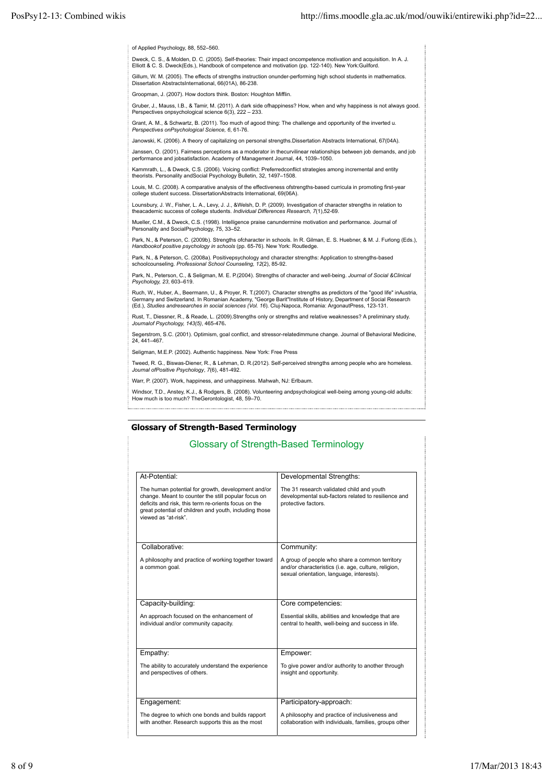of Applied Psychology, 88, 552–560.

Dweck, C. S., & Molden, D. C. (2005). Self-theories: Their impact oncompetence motivation and acquisition. In A. J.<br>Elliott & C. S. Dweck(Eds.), Handbook of competence and motivation (pp. 122-140). New York:Guilford. Gillum, W. M. (2005). The effects of strengths instruction onunder-performing high school students in mathematics. Dissertation AbstractsInternational, 66(01A), 86-238.

Groopman, J. (2007). How doctors think. Boston: Houghton Mifflin.

Gruber, J., Mauss, I.B., & Tamir, M. (2011). A dark side ofhappiness? How, when and why happiness is not always good. Perspectives onpsychological science 6(3), 222 - 233.

Grant, A. M., & Schwartz, B. (2011). Too much of agood thing: The challenge and opportunity of the inverted u*. Perspectives onPsychological Science, 6*, 61-76.

Janowski, K. (2006). A theory of capitalizing on personal strengths.Dissertation Abstracts International, 67(04A).

Janssen, O. (2001). Fairness perceptions as a moderator in thecurvilinear relationships between job demands, and job performance and jobsatisfaction. Academy of Management Journal, 44, 1039–1050.

Kammrath, L., & Dweck, C.S. (2006). Voicing conflict: Preferredconflict strategies among incremental and entity theorists. Personality andSocial Psychology Bulletin, 32, 1497–1508.

Louis, M. C. (2008). A comparative analysis of the effectiveness ofstrengths-based curricula in promoting first-year college student success. DissertationAbstracts International, 69(06A).

Lounsbury, J. W., Fisher, L. A., Levy, J. J., &Welsh, D. P. (2009). Investigation of character strengths in relation to<br>theacademic success of college students. *Individual Differences Research, 7(*1),52-69.

Mueller, C.M., & Dweck, C.S. (1998). Intelligence praise canundermine motivation and performance. Journal of Personality and SocialPsychology, 75, 33–52.

Park, N., & Peterson, C. (2009b). Strengths ofcharacter in schools. In R. Gilman, E. S. Huebner, & M. J. Furlong (Eds.), *Handbookof positive psychology in schools* (pp. 65-76). New York: Routledge.

Park, N., & Peterson, C. (2008a). Positivepsychology and character strengths: Application to strengths-based schoolcounseling. *Professional School Counseling, 12*(2), 85-92.

Park, N., Peterson, C., & Seligman, M. E. P.(2004). Strengths of character and well-being. *Journal of Social &Clinical Psychology, 23*, 603–619.

Ruch, W., Huber, A., Beermann, U., & Proyer, R. T.(2007). Character strengths as predictors of the "good life" inAustria,<br>Germany and Switzerland. In Romanian Academy, "George Barit"Institute of History, Department of Soci

Rust, T., Diessner, R., & Reade, L. (2009). Strengths only or strengths and relative weaknesses? A preliminary study. *Journalof Psychology, 143(5)*, 465-476**.**

Segerstrom, S.C. (2001). Optimism, goal conflict, and stressor-relatedimmune change. Journal of Behavioral Medicine, 24, 441–467.

Seligman, M.E.P. (2002). Authentic happiness. New York: Free Press

Tweed, R. G., Biswas-Diener, R., & Lehman, D. R.(2012). Self-perceived strengths among people who are homeless. *Journal ofPositive Psychology*, *7*(6), 481-492.

Warr, P. (2007). Work, happiness, and unhappiness. Mahwah, NJ: Erlbaum.

Windsor, T.D., Anstey, K.J., & Rodgers, B. (2008). Volunteering andpsychological well-being among young-old adults: How much is too much? TheGerontologist, 48, 59–70.

### **Glossary of Strength-Based Terminology**

## Glossary of Strength-Based Terminology

| At-Potential:                                                                                                                                                                                                                                       | Developmental Strengths:                                                                                                                            |
|-----------------------------------------------------------------------------------------------------------------------------------------------------------------------------------------------------------------------------------------------------|-----------------------------------------------------------------------------------------------------------------------------------------------------|
| The human potential for growth, development and/or<br>change. Meant to counter the still popular focus on<br>deficits and risk, this term re-orients focus on the<br>great potential of children and youth, including those<br>viewed as "at-risk". | The 31 research validated child and youth<br>developmental sub-factors related to resilience and<br>protective factors.                             |
| Collaborative:                                                                                                                                                                                                                                      | Community:                                                                                                                                          |
| A philosophy and practice of working together toward<br>a common goal.                                                                                                                                                                              | A group of people who share a common territory<br>and/or characteristics (i.e. age, culture, religion,<br>sexual orientation, language, interests). |
| Capacity-building:                                                                                                                                                                                                                                  | Core competencies:                                                                                                                                  |
| An approach focused on the enhancement of<br>individual and/or community capacity.                                                                                                                                                                  | Essential skills, abilities and knowledge that are<br>central to health, well-being and success in life.                                            |
| Empathy:                                                                                                                                                                                                                                            | Empower:                                                                                                                                            |
| The ability to accurately understand the experience<br>and perspectives of others.                                                                                                                                                                  | To give power and/or authority to another through<br>insight and opportunity.                                                                       |
| Engagement:                                                                                                                                                                                                                                         | Participatory-approach:                                                                                                                             |
| The degree to which one bonds and builds rapport<br>with another. Research supports this as the most                                                                                                                                                | A philosophy and practice of inclusiveness and<br>collaboration with individuals, families, groups other                                            |